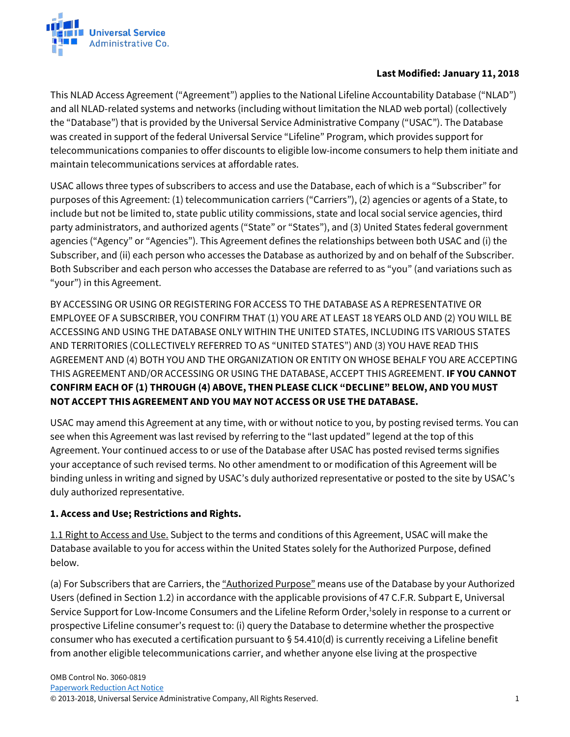

## **Last Modified: January 11, 2018**

This NLAD Access Agreement ("Agreement") applies to the National Lifeline Accountability Database ("NLAD") and all NLAD-related systems and networks (including without limitation the NLAD web portal) (collectively the "Database") that is provided by the Universal Service Administrative Company ("USAC"). The Database was created in support of the federal Universal Service "Lifeline" Program, which provides support for telecommunications companies to offer discounts to eligible low-income consumers to help them initiate and maintain telecommunications services at affordable rates.

USAC allows three types of subscribers to access and use the Database, each of which is a "Subscriber" for purposes of this Agreement: (1) telecommunication carriers ("Carriers"), (2) agencies or agents of a State, to include but not be limited to, state public utility commissions, state and local social service agencies, third party administrators, and authorized agents ("State" or "States"), and (3) United States federal government agencies ("Agency" or "Agencies"). This Agreement defines the relationships between both USAC and (i) the Subscriber, and (ii) each person who accesses the Database as authorized by and on behalf of the Subscriber. Both Subscriber and each person who accesses the Database are referred to as "you" (and variations such as "your") in this Agreement.

BY ACCESSING OR USING OR REGISTERING FOR ACCESS TO THE DATABASE AS A REPRESENTATIVE OR EMPLOYEE OF A SUBSCRIBER, YOU CONFIRM THAT (1) YOU ARE AT LEAST 18 YEARS OLD AND (2) YOU WILL BE ACCESSING AND USING THE DATABASE ONLY WITHIN THE UNITED STATES, INCLUDING ITS VARIOUS STATES AND TERRITORIES (COLLECTIVELY REFERRED TO AS "UNITED STATES") AND (3) YOU HAVE READ THIS AGREEMENT AND (4) BOTH YOU AND THE ORGANIZATION OR ENTITY ON WHOSE BEHALF YOU ARE ACCEPTING THIS AGREEMENT AND/OR ACCESSING OR USING THE DATABASE, ACCEPT THIS AGREEMENT. **IF YOU CANNOT CONFIRM EACH OF (1) THROUGH (4) ABOVE, THEN PLEASE CLICK "DECLINE" BELOW, AND YOU MUST NOT ACCEPT THIS AGREEMENT AND YOU MAY NOT ACCESS OR USE THE DATABASE.**

USAC may amend this Agreement at any time, with or without notice to you, by posting revised terms. You can see when this Agreement was last revised by referring to the "last updated" legend at the top of this Agreement. Your continued access to or use of the Database after USAC has posted revised terms signifies your acceptance of such revised terms. No other amendment to or modification of this Agreement will be binding unless in writing and signed by USAC's duly authorized representative or posted to the site by USAC's duly authorized representative.

## **1. Access and Use; Restrictions and Rights.**

1.1 Right to Access and Use. Subject to the terms and conditions of this Agreement, USAC will make the Database available to you for access within the United States solely for the Authorized Purpose, defined below.

(a) For Subscribers that are Carriers, the "Authorized Purpose" means use of the Database by your Authorized Users (defined in Section 1.2) in accordance with the applicable provisions of 47 C.F.R. Subpart E, Universal Service Support for Low-Income Consumers and the Lifeline Reform Order,<sup>1</sup>solely in response to a current or prospective Lifeline consumer's request to: (i) query the Database to determine whether the prospective consumer who has executed a certification pursuant to § 54.410(d) is currently receiving a Lifeline benefit from another eligible telecommunications carrier, and whether anyone else living at the prospective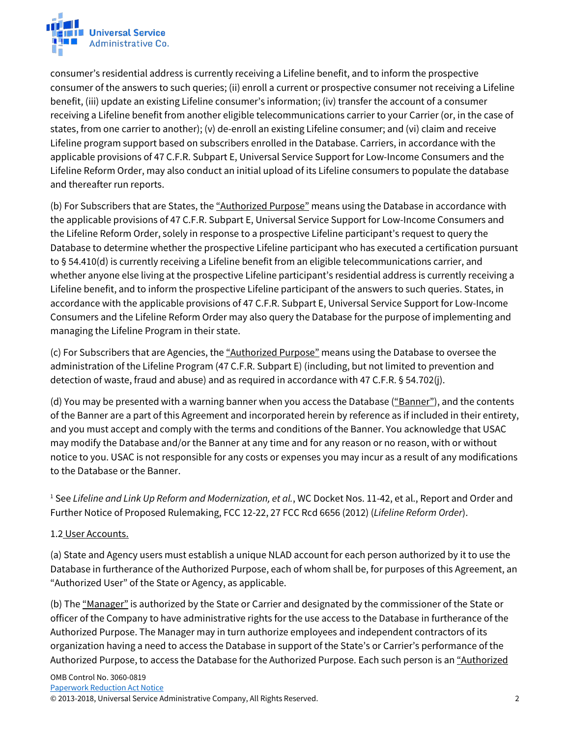

consumer's residential address is currently receiving a Lifeline benefit, and to inform the prospective consumer of the answers to such queries; (ii) enroll a current or prospective consumer not receiving a Lifeline benefit, (iii) update an existing Lifeline consumer's information; (iv) transfer the account of a consumer receiving a Lifeline benefit from another eligible telecommunications carrier to your Carrier (or, in the case of states, from one carrier to another); (v) de-enroll an existing Lifeline consumer; and (vi) claim and receive Lifeline program support based on subscribers enrolled in the Database. Carriers, in accordance with the applicable provisions of 47 C.F.R. Subpart E, Universal Service Support for Low-Income Consumers and the Lifeline Reform Order, may also conduct an initial upload of its Lifeline consumers to populate the database and thereafter run reports.

(b) For Subscribers that are States, the "Authorized Purpose" means using the Database in accordance with the applicable provisions of 47 C.F.R. Subpart E, Universal Service Support for Low-Income Consumers and the Lifeline Reform Order, solely in response to a prospective Lifeline participant's request to query the Database to determine whether the prospective Lifeline participant who has executed a certification pursuant to § 54.410(d) is currently receiving a Lifeline benefit from an eligible telecommunications carrier, and whether anyone else living at the prospective Lifeline participant's residential address is currently receiving a Lifeline benefit, and to inform the prospective Lifeline participant of the answers to such queries. States, in accordance with the applicable provisions of 47 C.F.R. Subpart E, Universal Service Support for Low-Income Consumers and the Lifeline Reform Order may also query the Database for the purpose of implementing and managing the Lifeline Program in their state.

(c) For Subscribers that are Agencies, the "Authorized Purpose" means using the Database to oversee the administration of the Lifeline Program (47 C.F.R. Subpart E) (including, but not limited to prevention and detection of waste, fraud and abuse) and as required in accordance with 47 C.F.R. § 54.702(j).

(d) You may be presented with a warning banner when you access the Database ("Banner"), and the contents of the Banner are a part of this Agreement and incorporated herein by reference as if included in their entirety, and you must accept and comply with the terms and conditions of the Banner. You acknowledge that USAC may modify the Database and/or the Banner at any time and for any reason or no reason, with or without notice to you. USAC is not responsible for any costs or expenses you may incur as a result of any modifications to the Database or the Banner.

<sup>1</sup> See *Lifeline and Link Up Reform and Modernization, et al.*, WC Docket Nos. 11-42, et al., Report and Order and Further Notice of Proposed Rulemaking, FCC 12-22, 27 FCC Rcd 6656 (2012) (*Lifeline Reform Order*).

## 1.2 User Accounts.

(a) State and Agency users must establish a unique NLAD account for each person authorized by it to use the Database in furtherance of the Authorized Purpose, each of whom shall be, for purposes of this Agreement, an "Authorized User" of the State or Agency, as applicable.

(b) The "Manager" is authorized by the State or Carrier and designated by the commissioner of the State or officer of the Company to have administrative rights for the use access to the Database in furtherance of the Authorized Purpose. The Manager may in turn authorize employees and independent contractors of its organization having a need to access the Database in support of the State's or Carrier's performance of the Authorized Purpose, to access the Database for the Authorized Purpose. Each such person is an "Authorized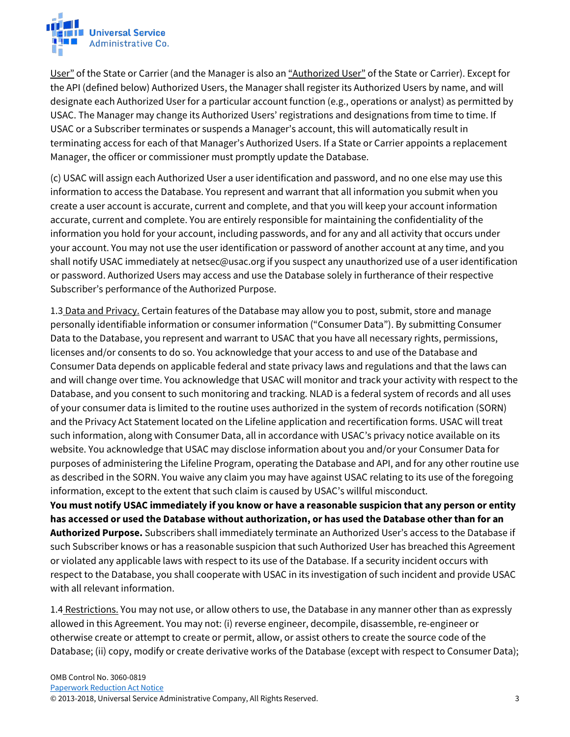

User" of the State or Carrier (and the Manager is also an "Authorized User" of the State or Carrier). Except for the API (defined below) Authorized Users, the Manager shall register its Authorized Users by name, and will designate each Authorized User for a particular account function (e.g., operations or analyst) as permitted by USAC. The Manager may change its Authorized Users' registrations and designations from time to time. If USAC or a Subscriber terminates or suspends a Manager's account, this will automatically result in terminating access for each of that Manager's Authorized Users. If a State or Carrier appoints a replacement Manager, the officer or commissioner must promptly update the Database.

(c) USAC will assign each Authorized User a user identification and password, and no one else may use this information to access the Database. You represent and warrant that all information you submit when you create a user account is accurate, current and complete, and that you will keep your account information accurate, current and complete. You are entirely responsible for maintaining the confidentiality of the information you hold for your account, including passwords, and for any and all activity that occurs under your account. You may not use the user identification or password of another account at any time, and you shall notify USAC immediately at netsec@usac.org if you suspect any unauthorized use of a user identification or password. Authorized Users may access and use the Database solely in furtherance of their respective Subscriber's performance of the Authorized Purpose.

1.3 Data and Privacy. Certain features of the Database may allow you to post, submit, store and manage personally identifiable information or consumer information ("Consumer Data"). By submitting Consumer Data to the Database, you represent and warrant to USAC that you have all necessary rights, permissions, licenses and/or consents to do so. You acknowledge that your access to and use of the Database and Consumer Data depends on applicable federal and state privacy laws and regulations and that the laws can and will change over time. You acknowledge that USAC will monitor and track your activity with respect to the Database, and you consent to such monitoring and tracking. NLAD is a federal system of records and all uses of your consumer data is limited to the routine uses authorized in the system of records notification (SORN) and the Privacy Act Statement located on the Lifeline application and recertification forms. USAC will treat such information, along with Consumer Data, all in accordance with USAC's privacy notice available on its website. You acknowledge that USAC may disclose information about you and/or your Consumer Data for purposes of administering the Lifeline Program, operating the Database and API, and for any other routine use as described in the SORN. You waive any claim you may have against USAC relating to its use of the foregoing information, except to the extent that such claim is caused by USAC's willful misconduct.

**You must notify USAC immediately if you know or have a reasonable suspicion that any person or entity has accessed or used the Database without authorization, or has used the Database other than for an Authorized Purpose.** Subscribers shall immediately terminate an Authorized User's access to the Database if such Subscriber knows or has a reasonable suspicion that such Authorized User has breached this Agreement or violated any applicable laws with respect to its use of the Database. If a security incident occurs with respect to the Database, you shall cooperate with USAC in its investigation of such incident and provide USAC with all relevant information.

1.4 Restrictions. You may not use, or allow others to use, the Database in any manner other than as expressly allowed in this Agreement. You may not: (i) reverse engineer, decompile, disassemble, re-engineer or otherwise create or attempt to create or permit, allow, or assist others to create the source code of the Database; (ii) copy, modify or create derivative works of the Database (except with respect to Consumer Data);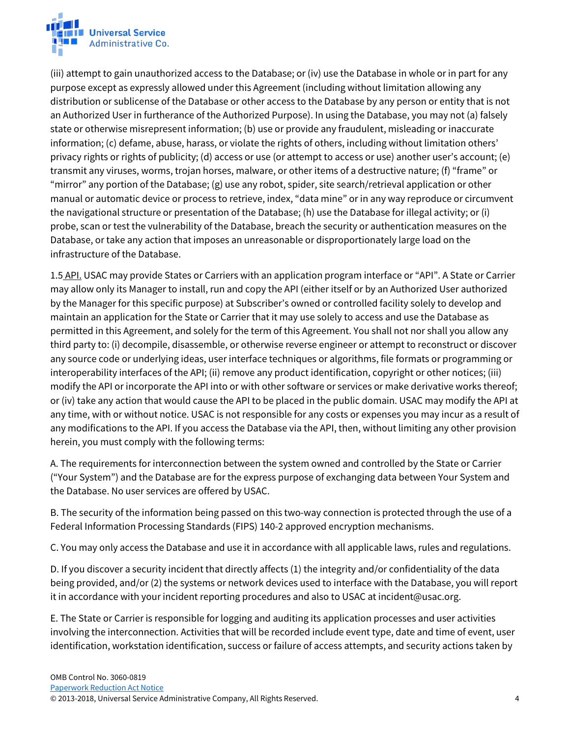

(iii) attempt to gain unauthorized access to the Database; or (iv) use the Database in whole or in part for any purpose except as expressly allowed under this Agreement (including without limitation allowing any distribution or sublicense of the Database or other access to the Database by any person or entity that is not an Authorized User in furtherance of the Authorized Purpose). In using the Database, you may not (a) falsely state or otherwise misrepresent information; (b) use or provide any fraudulent, misleading or inaccurate information; (c) defame, abuse, harass, or violate the rights of others, including without limitation others' privacy rights or rights of publicity; (d) access or use (or attempt to access or use) another user's account; (e) transmit any viruses, worms, trojan horses, malware, or other items of a destructive nature; (f) "frame" or "mirror" any portion of the Database; (g) use any robot, spider, site search/retrieval application or other manual or automatic device or process to retrieve, index, "data mine" or in any way reproduce or circumvent the navigational structure or presentation of the Database; (h) use the Database for illegal activity; or (i) probe, scan or test the vulnerability of the Database, breach the security or authentication measures on the Database, or take any action that imposes an unreasonable or disproportionately large load on the infrastructure of the Database.

1.5 API. USAC may provide States or Carriers with an application program interface or "API". A State or Carrier may allow only its Manager to install, run and copy the API (either itself or by an Authorized User authorized by the Manager for this specific purpose) at Subscriber's owned or controlled facility solely to develop and maintain an application for the State or Carrier that it may use solely to access and use the Database as permitted in this Agreement, and solely for the term of this Agreement. You shall not nor shall you allow any third party to: (i) decompile, disassemble, or otherwise reverse engineer or attempt to reconstruct or discover any source code or underlying ideas, user interface techniques or algorithms, file formats or programming or interoperability interfaces of the API; (ii) remove any product identification, copyright or other notices; (iii) modify the API or incorporate the API into or with other software or services or make derivative works thereof; or (iv) take any action that would cause the API to be placed in the public domain. USAC may modify the API at any time, with or without notice. USAC is not responsible for any costs or expenses you may incur as a result of any modifications to the API. If you access the Database via the API, then, without limiting any other provision herein, you must comply with the following terms:

A. The requirements for interconnection between the system owned and controlled by the State or Carrier ("Your System") and the Database are for the express purpose of exchanging data between Your System and the Database. No user services are offered by USAC.

B. The security of the information being passed on this two-way connection is protected through the use of a Federal Information Processing Standards (FIPS) 140-2 approved encryption mechanisms.

C. You may only access the Database and use it in accordance with all applicable laws, rules and regulations.

D. If you discover a security incident that directly affects (1) the integrity and/or confidentiality of the data being provided, and/or (2) the systems or network devices used to interface with the Database, you will report it in accordance with your incident reporting procedures and also to USAC at incident@usac.org.

E. The State or Carrier is responsible for logging and auditing its application processes and user activities involving the interconnection. Activities that will be recorded include event type, date and time of event, user identification, workstation identification, success or failure of access attempts, and security actions taken by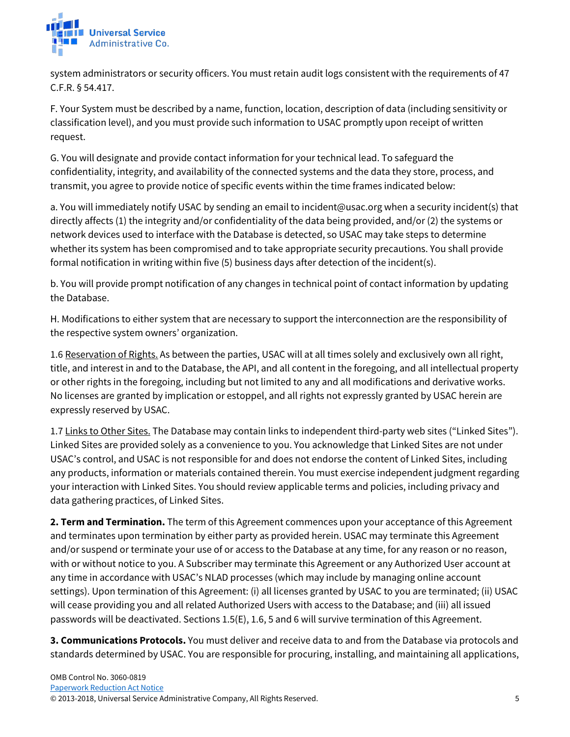

system administrators or security officers. You must retain audit logs consistent with the requirements of 47 C.F.R. § 54.417.

F. Your System must be described by a name, function, location, description of data (including sensitivity or classification level), and you must provide such information to USAC promptly upon receipt of written request.

G. You will designate and provide contact information for your technical lead. To safeguard the confidentiality, integrity, and availability of the connected systems and the data they store, process, and transmit, you agree to provide notice of specific events within the time frames indicated below:

a. You will immediately notify USAC by sending an email to incident@usac.org when a security incident(s) that directly affects (1) the integrity and/or confidentiality of the data being provided, and/or (2) the systems or network devices used to interface with the Database is detected, so USAC may take steps to determine whether its system has been compromised and to take appropriate security precautions. You shall provide formal notification in writing within five (5) business days after detection of the incident(s).

b. You will provide prompt notification of any changes in technical point of contact information by updating the Database.

H. Modifications to either system that are necessary to support the interconnection are the responsibility of the respective system owners' organization.

1.6 Reservation of Rights. As between the parties, USAC will at all times solely and exclusively own all right, title, and interest in and to the Database, the API, and all content in the foregoing, and all intellectual property or other rights in the foregoing, including but not limited to any and all modifications and derivative works. No licenses are granted by implication or estoppel, and all rights not expressly granted by USAC herein are expressly reserved by USAC.

1.7 Links to Other Sites. The Database may contain links to independent third-party web sites ("Linked Sites"). Linked Sites are provided solely as a convenience to you. You acknowledge that Linked Sites are not under USAC's control, and USAC is not responsible for and does not endorse the content of Linked Sites, including any products, information or materials contained therein. You must exercise independent judgment regarding your interaction with Linked Sites. You should review applicable terms and policies, including privacy and data gathering practices, of Linked Sites.

**2. Term and Termination.** The term of this Agreement commences upon your acceptance of this Agreement and terminates upon termination by either party as provided herein. USAC may terminate this Agreement and/or suspend or terminate your use of or access to the Database at any time, for any reason or no reason, with or without notice to you. A Subscriber may terminate this Agreement or any Authorized User account at any time in accordance with USAC's NLAD processes (which may include by managing online account settings). Upon termination of this Agreement: (i) all licenses granted by USAC to you are terminated; (ii) USAC will cease providing you and all related Authorized Users with access to the Database; and (iii) all issued passwords will be deactivated. Sections 1.5(E), 1.6, 5 and 6 will survive termination of this Agreement.

**3. Communications Protocols.** You must deliver and receive data to and from the Database via protocols and standards determined by USAC. You are responsible for procuring, installing, and maintaining all applications,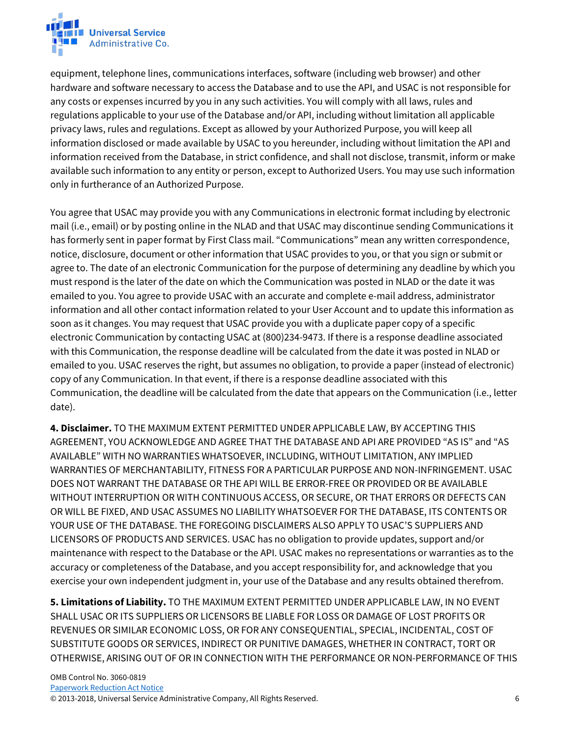

equipment, telephone lines, communications interfaces, software (including web browser) and other hardware and software necessary to access the Database and to use the API, and USAC is not responsible for any costs or expenses incurred by you in any such activities. You will comply with all laws, rules and regulations applicable to your use of the Database and/or API, including without limitation all applicable privacy laws, rules and regulations. Except as allowed by your Authorized Purpose, you will keep all information disclosed or made available by USAC to you hereunder, including without limitation the API and information received from the Database, in strict confidence, and shall not disclose, transmit, inform or make available such information to any entity or person, except to Authorized Users. You may use such information only in furtherance of an Authorized Purpose.

You agree that USAC may provide you with any Communications in electronic format including by electronic mail (i.e., email) or by posting online in the NLAD and that USAC may discontinue sending Communications it has formerly sent in paper format by First Class mail. "Communications" mean any written correspondence, notice, disclosure, document or other information that USAC provides to you, or that you sign or submit or agree to. The date of an electronic Communication for the purpose of determining any deadline by which you must respond is the later of the date on which the Communication was posted in NLAD or the date it was emailed to you. You agree to provide USAC with an accurate and complete e-mail address, administrator information and all other contact information related to your User Account and to update this information as soon as it changes. You may request that USAC provide you with a duplicate paper copy of a specific electronic Communication by contacting USAC at (800)234-9473. If there is a response deadline associated with this Communication, the response deadline will be calculated from the date it was posted in NLAD or emailed to you. USAC reserves the right, but assumes no obligation, to provide a paper (instead of electronic) copy of any Communication. In that event, if there is a response deadline associated with this Communication, the deadline will be calculated from the date that appears on the Communication (i.e., letter date).

**4. Disclaimer.** TO THE MAXIMUM EXTENT PERMITTED UNDER APPLICABLE LAW, BY ACCEPTING THIS AGREEMENT, YOU ACKNOWLEDGE AND AGREE THAT THE DATABASE AND API ARE PROVIDED "AS IS" and "AS AVAILABLE" WITH NO WARRANTIES WHATSOEVER, INCLUDING, WITHOUT LIMITATION, ANY IMPLIED WARRANTIES OF MERCHANTABILITY, FITNESS FOR A PARTICULAR PURPOSE AND NON-INFRINGEMENT. USAC DOES NOT WARRANT THE DATABASE OR THE API WILL BE ERROR-FREE OR PROVIDED OR BE AVAILABLE WITHOUT INTERRUPTION OR WITH CONTINUOUS ACCESS, OR SECURE, OR THAT ERRORS OR DEFECTS CAN OR WILL BE FIXED, AND USAC ASSUMES NO LIABILITY WHATSOEVER FOR THE DATABASE, ITS CONTENTS OR YOUR USE OF THE DATABASE. THE FOREGOING DISCLAIMERS ALSO APPLY TO USAC'S SUPPLIERS AND LICENSORS OF PRODUCTS AND SERVICES. USAC has no obligation to provide updates, support and/or maintenance with respect to the Database or the API. USAC makes no representations or warranties as to the accuracy or completeness of the Database, and you accept responsibility for, and acknowledge that you exercise your own independent judgment in, your use of the Database and any results obtained therefrom.

**5. Limitations of Liability.** TO THE MAXIMUM EXTENT PERMITTED UNDER APPLICABLE LAW, IN NO EVENT SHALL USAC OR ITS SUPPLIERS OR LICENSORS BE LIABLE FOR LOSS OR DAMAGE OF LOST PROFITS OR REVENUES OR SIMILAR ECONOMIC LOSS, OR FOR ANY CONSEQUENTIAL, SPECIAL, INCIDENTAL, COST OF SUBSTITUTE GOODS OR SERVICES, INDIRECT OR PUNITIVE DAMAGES, WHETHER IN CONTRACT, TORT OR OTHERWISE, ARISING OUT OF OR IN CONNECTION WITH THE PERFORMANCE OR NON-PERFORMANCE OF THIS